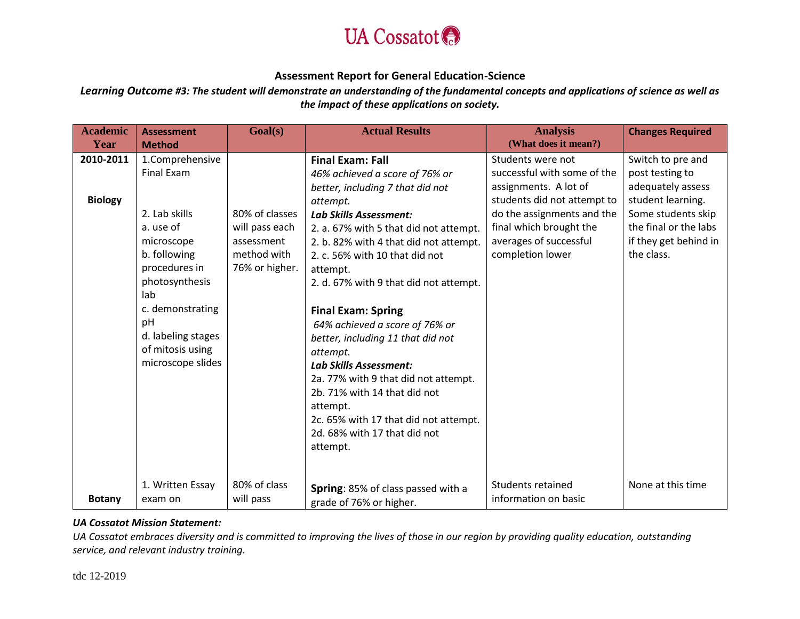

*Learning Outcome #3: The student will demonstrate an understanding of the fundamental concepts and applications of science as well as the impact of these applications on society.*

| <b>Academic</b><br>Year     | <b>Assessment</b><br><b>Method</b>                                                                                                                                                                                           | Goal(s)                                                                         | <b>Actual Results</b>                                                                                                                                                                                                                                                                                                                                                                                                                                                                                                                                                                                                                            | <b>Analysis</b><br>(What does it mean?)                                                                                                                                                                         | <b>Changes Required</b>                                                                                                                                              |
|-----------------------------|------------------------------------------------------------------------------------------------------------------------------------------------------------------------------------------------------------------------------|---------------------------------------------------------------------------------|--------------------------------------------------------------------------------------------------------------------------------------------------------------------------------------------------------------------------------------------------------------------------------------------------------------------------------------------------------------------------------------------------------------------------------------------------------------------------------------------------------------------------------------------------------------------------------------------------------------------------------------------------|-----------------------------------------------------------------------------------------------------------------------------------------------------------------------------------------------------------------|----------------------------------------------------------------------------------------------------------------------------------------------------------------------|
| 2010-2011<br><b>Biology</b> | 1.Comprehensive<br>Final Exam<br>2. Lab skills<br>a. use of<br>microscope<br>b. following<br>procedures in<br>photosynthesis<br>lab<br>c. demonstrating<br>pH<br>d. labeling stages<br>of mitosis using<br>microscope slides | 80% of classes<br>will pass each<br>assessment<br>method with<br>76% or higher. | <b>Final Exam: Fall</b><br>46% achieved a score of 76% or<br>better, including 7 that did not<br>attempt.<br><b>Lab Skills Assessment:</b><br>2. a. 67% with 5 that did not attempt.<br>2. b. 82% with 4 that did not attempt.<br>2. c. 56% with 10 that did not<br>attempt.<br>2. d. 67% with 9 that did not attempt.<br><b>Final Exam: Spring</b><br>64% achieved a score of 76% or<br>better, including 11 that did not<br>attempt.<br><b>Lab Skills Assessment:</b><br>2a. 77% with 9 that did not attempt.<br>2b. 71% with 14 that did not<br>attempt.<br>2c. 65% with 17 that did not attempt.<br>2d. 68% with 17 that did not<br>attempt. | Students were not<br>successful with some of the<br>assignments. A lot of<br>students did not attempt to<br>do the assignments and the<br>final which brought the<br>averages of successful<br>completion lower | Switch to pre and<br>post testing to<br>adequately assess<br>student learning.<br>Some students skip<br>the final or the labs<br>if they get behind in<br>the class. |
| <b>Botany</b>               | 1. Written Essay<br>exam on                                                                                                                                                                                                  | 80% of class<br>will pass                                                       | Spring: 85% of class passed with a<br>grade of 76% or higher.                                                                                                                                                                                                                                                                                                                                                                                                                                                                                                                                                                                    | Students retained<br>information on basic                                                                                                                                                                       | None at this time                                                                                                                                                    |

### *UA Cossatot Mission Statement:*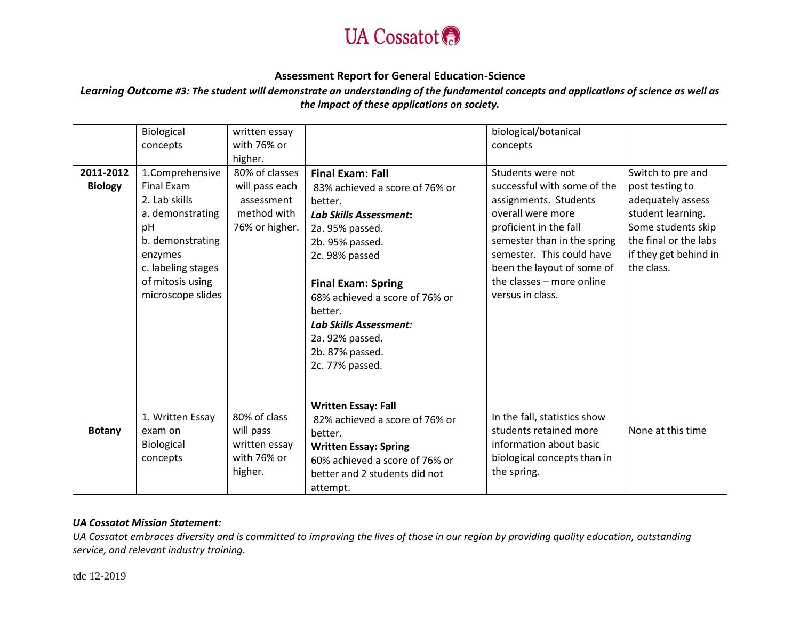

# *Learning Outcome #3: The student will demonstrate an understanding of the fundamental concepts and applications of science as well as the impact of these applications on society.*

|                | Biological         | written essay  |                                | biological/botanical         |                       |
|----------------|--------------------|----------------|--------------------------------|------------------------------|-----------------------|
|                | concepts           | with 76% or    |                                | concepts                     |                       |
|                |                    | higher.        |                                |                              |                       |
| 2011-2012      | 1.Comprehensive    | 80% of classes | <b>Final Exam: Fall</b>        | Students were not            | Switch to pre and     |
| <b>Biology</b> | Final Exam         | will pass each | 83% achieved a score of 76% or | successful with some of the  | post testing to       |
|                | 2. Lab skills      | assessment     | better.                        | assignments. Students        | adequately assess     |
|                | a. demonstrating   | method with    | <b>Lab Skills Assessment:</b>  | overall were more            | student learning.     |
|                | pH                 | 76% or higher. | 2a. 95% passed.                | proficient in the fall       | Some students skip    |
|                | b. demonstrating   |                | 2b. 95% passed.                | semester than in the spring  | the final or the labs |
|                | enzymes            |                | 2c. 98% passed                 | semester. This could have    | if they get behind in |
|                | c. labeling stages |                |                                | been the layout of some of   | the class.            |
|                | of mitosis using   |                | <b>Final Exam: Spring</b>      | the classes - more online    |                       |
|                | microscope slides  |                | 68% achieved a score of 76% or | versus in class.             |                       |
|                |                    |                | better.                        |                              |                       |
|                |                    |                | Lab Skills Assessment:         |                              |                       |
|                |                    |                | 2a. 92% passed.                |                              |                       |
|                |                    |                | 2b. 87% passed.                |                              |                       |
|                |                    |                | 2c. 77% passed.                |                              |                       |
|                |                    |                |                                |                              |                       |
|                |                    |                |                                |                              |                       |
|                |                    |                | <b>Written Essay: Fall</b>     |                              |                       |
|                | 1. Written Essay   | 80% of class   | 82% achieved a score of 76% or | In the fall, statistics show |                       |
| <b>Botany</b>  | exam on            | will pass      | better.                        | students retained more       | None at this time     |
|                | Biological         | written essay  | <b>Written Essay: Spring</b>   | information about basic      |                       |
|                | concepts           | with 76% or    | 60% achieved a score of 76% or | biological concepts than in  |                       |
|                |                    | higher.        | better and 2 students did not  | the spring.                  |                       |
|                |                    |                | attempt.                       |                              |                       |

#### *UA Cossatot Mission Statement:*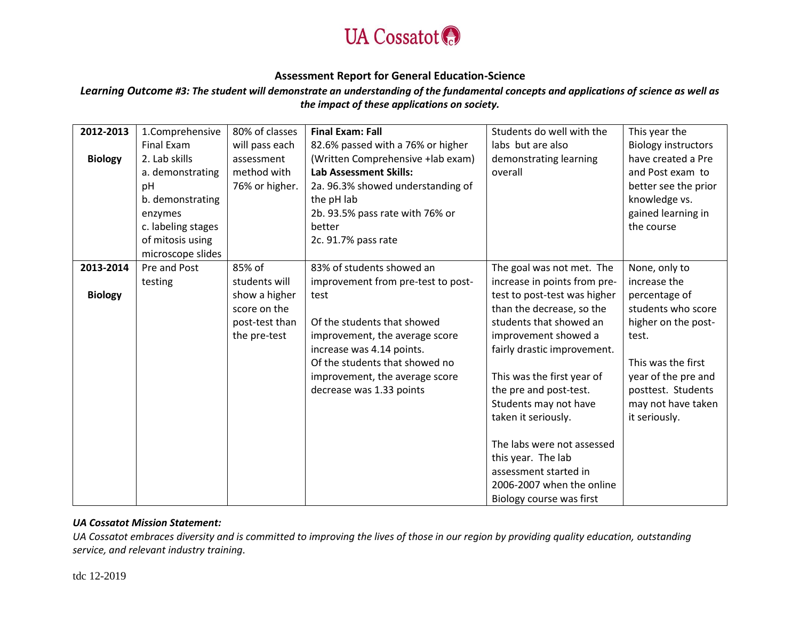

*Learning Outcome #3: The student will demonstrate an understanding of the fundamental concepts and applications of science as well as the impact of these applications on society.*

| 2012-2013      | 1.Comprehensive    | 80% of classes | <b>Final Exam: Fall</b>            | Students do well with the    | This year the              |
|----------------|--------------------|----------------|------------------------------------|------------------------------|----------------------------|
|                | Final Exam         | will pass each | 82.6% passed with a 76% or higher  | labs but are also            | <b>Biology instructors</b> |
| <b>Biology</b> | 2. Lab skills      | assessment     | (Written Comprehensive +lab exam)  | demonstrating learning       | have created a Pre         |
|                | a. demonstrating   | method with    | <b>Lab Assessment Skills:</b>      | overall                      | and Post exam to           |
|                | pH                 | 76% or higher. | 2a. 96.3% showed understanding of  |                              | better see the prior       |
|                | b. demonstrating   |                | the pH lab                         |                              | knowledge vs.              |
|                | enzymes            |                | 2b. 93.5% pass rate with 76% or    |                              | gained learning in         |
|                | c. labeling stages |                | better                             |                              | the course                 |
|                | of mitosis using   |                | 2c. 91.7% pass rate                |                              |                            |
|                | microscope slides  |                |                                    |                              |                            |
| 2013-2014      | Pre and Post       | 85% of         | 83% of students showed an          | The goal was not met. The    | None, only to              |
|                | testing            | students will  | improvement from pre-test to post- | increase in points from pre- | increase the               |
| <b>Biology</b> |                    | show a higher  | test                               | test to post-test was higher | percentage of              |
|                |                    | score on the   |                                    | than the decrease, so the    | students who score         |
|                |                    | post-test than | Of the students that showed        | students that showed an      | higher on the post-        |
|                |                    | the pre-test   | improvement, the average score     | improvement showed a         | test.                      |
|                |                    |                | increase was 4.14 points.          | fairly drastic improvement.  |                            |
|                |                    |                | Of the students that showed no     |                              | This was the first         |
|                |                    |                | improvement, the average score     | This was the first year of   | year of the pre and        |
|                |                    |                | decrease was 1.33 points           | the pre and post-test.       | posttest. Students         |
|                |                    |                |                                    | Students may not have        | may not have taken         |
|                |                    |                |                                    | taken it seriously.          | it seriously.              |
|                |                    |                |                                    |                              |                            |
|                |                    |                |                                    | The labs were not assessed   |                            |
|                |                    |                |                                    | this year. The lab           |                            |
|                |                    |                |                                    | assessment started in        |                            |
|                |                    |                |                                    | 2006-2007 when the online    |                            |
|                |                    |                |                                    | Biology course was first     |                            |

#### *UA Cossatot Mission Statement:*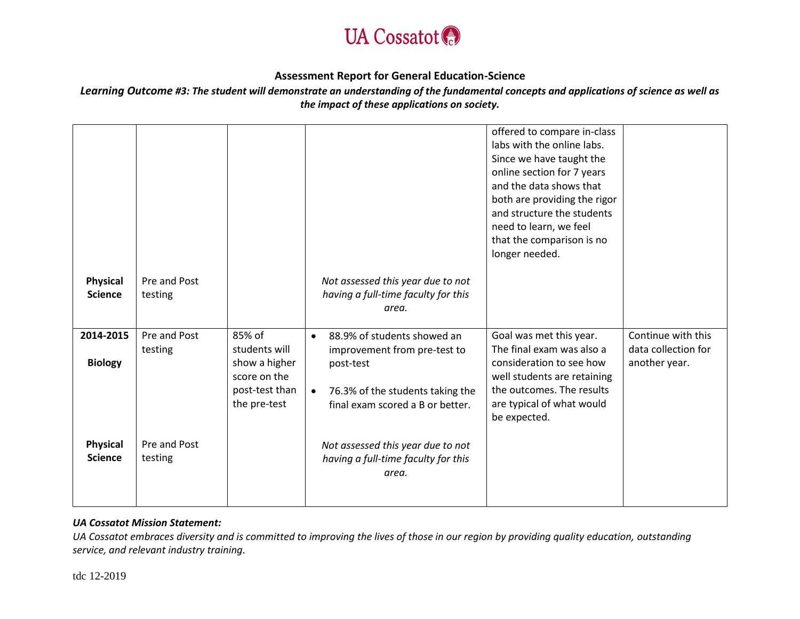

*Learning Outcome #3: The student will demonstrate an understanding of the fundamental concepts and applications of science as well as the impact of these applications on society.*

| <b>Physical</b>                   | Pre and Post            |                                                                                            | Not assessed this year due to not                                                                                                                                          | offered to compare in-class<br>labs with the online labs.<br>Since we have taught the<br>online section for 7 years<br>and the data shows that<br>both are providing the rigor<br>and structure the students<br>need to learn, we feel<br>that the comparison is no<br>longer needed. |                                                            |
|-----------------------------------|-------------------------|--------------------------------------------------------------------------------------------|----------------------------------------------------------------------------------------------------------------------------------------------------------------------------|---------------------------------------------------------------------------------------------------------------------------------------------------------------------------------------------------------------------------------------------------------------------------------------|------------------------------------------------------------|
| <b>Science</b>                    | testing                 |                                                                                            | having a full-time faculty for this<br>area.                                                                                                                               |                                                                                                                                                                                                                                                                                       |                                                            |
|                                   |                         |                                                                                            |                                                                                                                                                                            |                                                                                                                                                                                                                                                                                       |                                                            |
| 2014-2015<br><b>Biology</b>       | Pre and Post<br>testing | 85% of<br>students will<br>show a higher<br>score on the<br>post-test than<br>the pre-test | 88.9% of students showed an<br>$\bullet$<br>improvement from pre-test to<br>post-test<br>76.3% of the students taking the<br>$\bullet$<br>final exam scored a B or better. | Goal was met this year.<br>The final exam was also a<br>consideration to see how<br>well students are retaining<br>the outcomes. The results<br>are typical of what would<br>be expected.                                                                                             | Continue with this<br>data collection for<br>another year. |
| <b>Physical</b><br><b>Science</b> | Pre and Post<br>testing |                                                                                            | Not assessed this year due to not<br>having a full-time faculty for this<br>area.                                                                                          |                                                                                                                                                                                                                                                                                       |                                                            |

#### *UA Cossatot Mission Statement:*